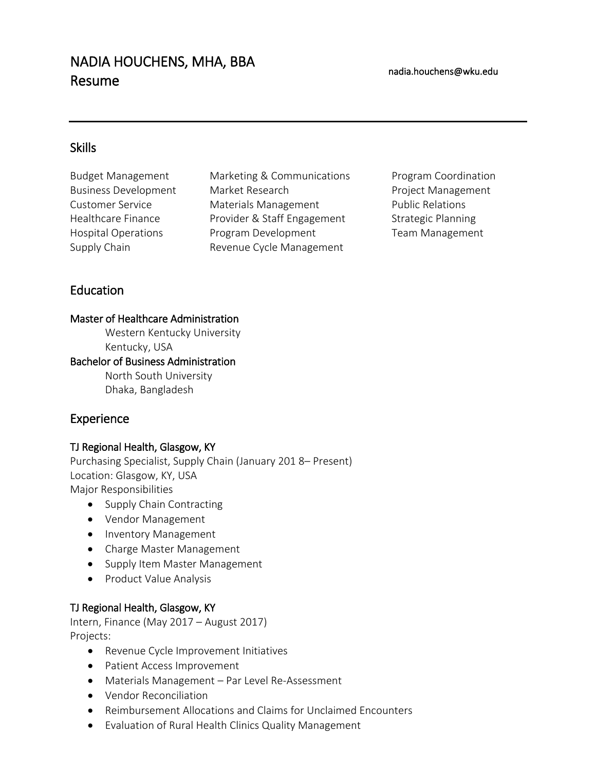# NADIA HOUCHENS, MHA, BBA Resume

# **Skills**

Hospital Operations Supply Chain

Budget Management Marketing & Communications Program Coordination Business Development Market Research **Project Management** Customer Service Materials Management Public Relations Healthcare Finance **Provider & Staff Engagement** Strategic Planning Program Development Revenue Cycle Management

Team Management

# Education

#### Master of Healthcare Administration

Western Kentucky University Kentucky, USA

#### Bachelor of Business Administration

North South University Dhaka, Bangladesh

# Experience

## TJ Regional Health, Glasgow, KY

Purchasing Specialist, Supply Chain (January 201 8– Present) Location: Glasgow, KY, USA Major Responsibilities

- Supply Chain Contracting
- Vendor Management
- Inventory Management
- Charge Master Management
- Supply Item Master Management
- Product Value Analysis

## TJ Regional Health, Glasgow, KY

Intern, Finance (May 2017 – August 2017) Projects:

- Revenue Cycle Improvement Initiatives
- Patient Access Improvement
- Materials Management Par Level Re-Assessment
- Vendor Reconciliation
- Reimbursement Allocations and Claims for Unclaimed Encounters
- Evaluation of Rural Health Clinics Quality Management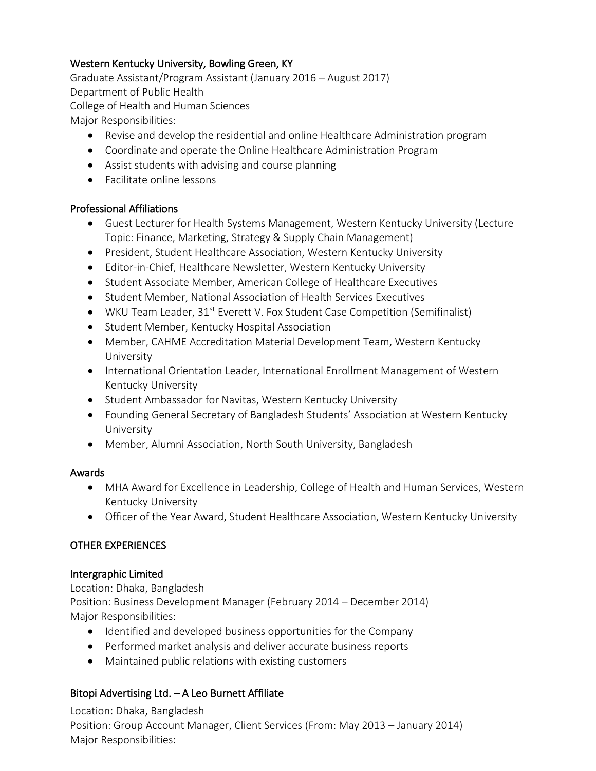# Western Kentucky University, Bowling Green, KY

Graduate Assistant/Program Assistant (January 2016 – August 2017) Department of Public Health College of Health and Human Sciences Major Responsibilities:

Revise and develop the residential and online Healthcare Administration program

- Coordinate and operate the Online Healthcare Administration Program
- Assist students with advising and course planning
- Facilitate online lessons

#### Professional Affiliations

- Guest Lecturer for Health Systems Management, Western Kentucky University (Lecture Topic: Finance, Marketing, Strategy & Supply Chain Management)
- President, Student Healthcare Association, Western Kentucky University
- Editor-in-Chief, Healthcare Newsletter, Western Kentucky University
- Student Associate Member, American College of Healthcare Executives
- **•** Student Member, National Association of Health Services Executives
- WKU Team Leader, 31<sup>st</sup> Everett V. Fox Student Case Competition (Semifinalist)
- **•** Student Member, Kentucky Hospital Association
- Member, CAHME Accreditation Material Development Team, Western Kentucky University
- International Orientation Leader, International Enrollment Management of Western Kentucky University
- Student Ambassador for Navitas, Western Kentucky University
- Founding General Secretary of Bangladesh Students' Association at Western Kentucky University
- Member, Alumni Association, North South University, Bangladesh

#### Awards

- MHA Award for Excellence in Leadership, College of Health and Human Services, Western Kentucky University
- Officer of the Year Award, Student Healthcare Association, Western Kentucky University

## OTHER EXPERIENCES

#### Intergraphic Limited

Location: Dhaka, Bangladesh Position: Business Development Manager (February 2014 – December 2014) Major Responsibilities:

- Identified and developed business opportunities for the Company
- Performed market analysis and deliver accurate business reports
- Maintained public relations with existing customers

## Bitopi Advertising Ltd. – A Leo Burnett Affiliate

Location: Dhaka, Bangladesh Position: Group Account Manager, Client Services (From: May 2013 – January 2014) Major Responsibilities: